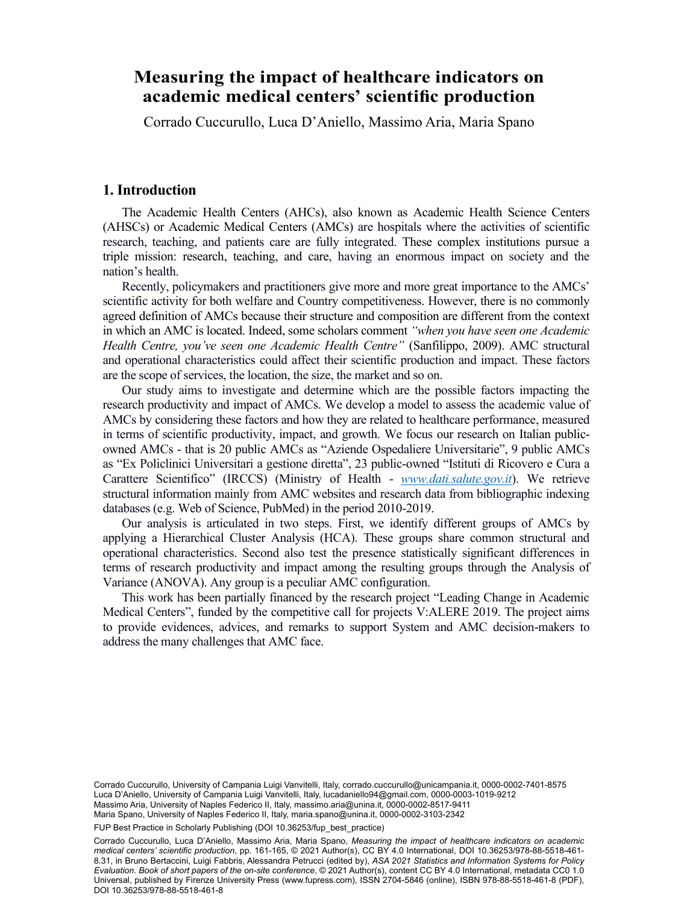# academic medical centers' scientific production **Measuring the impact of healthcare indicators on**

Cerrede Cueeurulle, Luee D'Anielle, Messime Arie, Merie Spene Corrado Cuccurullo, Luca D'Aniello, Massimo Aria, Maria Spano

#### **1. Introduction**

The Academic Health Centers (AHCs), also known as Academic Health Science Centers (AHSCs) or Academic Medical Centers (AMCs) are hospitals where the activities of scientific research, teaching, and patients care are fully integrated. These complex institutions pursue a triple mission: research, teaching, and care, having an enormous impact on society and the nation's health.

Recently, policymakers and practitioners give more and more great importance to the AMCs' scientific activity for both welfare and Country competitiveness. However, there is no commonly agreed definition of AMCs because their structure and composition are different from the context in which an AMC is located. Indeed, some scholars comment *"when you have seen one Academic Health Centre, you've seen one Academic Health Centre"* (Sanfilippo, 2009). AMC structural and operational characteristics could affect their scientific production and impact. These factors are the scope of services, the location, the size, the market and so on.

Our study aims to investigate and determine which are the possible factors impacting the research productivity and impact of AMCs. We develop a model to assess the academic value of AMCs by considering these factors and how they are related to healthcare performance, measured in terms of scientific productivity, impact, and growth. We focus our research on Italian publicowned AMCs - that is 20 public AMCs as "Aziende Ospedaliere Universitarie", 9 public AMCs as "Ex Policlinici Universitari a gestione diretta", 23 public-owned "Istituti di Ricovero e Cura a Carattere Scientifico" (IRCCS) (Ministry of Health - *www.dati.salute.gov.it*). We retrieve structural information mainly from AMC websites and research data from bibliographic indexing databases (e.g. Web of Science, PubMed) in the period 2010-2019.

Our analysis is articulated in two steps. First, we identify different groups of AMCs by applying a Hierarchical Cluster Analysis (HCA). These groups share common structural and operational characteristics. Second also test the presence statistically significant differences in terms of research productivity and impact among the resulting groups through the Analysis of Variance (ANOVA). Any group is a peculiar AMC configuration.

This work has been partially financed by the research project "Leading Change in Academic Medical Centers", funded by the competitive call for projects V:ALERE 2019. The project aims to provide evidences, advices, and remarks to support System and AMC decision-makers to address the many challenges that AMC face.

Maria Spano, University of Naples Federico II, Italy, [maria.spano@unina.it,](mailto:maria.spano@unina.it) [0000-0002-3103-2342](https://orcid.org/0000-0002-3103-2342)<br>. Corrado Cuccurullo, University of Campania Luigi Vanvitelli, Italy, [corrado.cuccurullo@unicampania.it,](mailto:corrado.cuccurullo@unicampania.it) [0000-0002-7401-8575](https://orcid.org/0000-0002-7401-8575) Luca D'Aniello, University of Campania Luigi Vanvitelli, Italy, [lucadaniello94@gmail.com,](mailto:lucadaniello94@gmail.com) [0000-0003-1019-9212](https://orcid.org/0000-0003-1019-9212) Massimo Aria, University of Naples Federico II, Italy, [massimo.aria@unina.it](mailto:massimo.aria@unina.it), [0000-0002-8517-9411](https://orcid.org/0000-0002-8517-9411)

FUP Best Practice in Scholarly Publishing (DOI 10.36253/fup best practice)

Corrado Cuccurullo, Luca D'Aniello, Massimo Aria, Maria Spano, *Measuring the impact of healthcare indicators on academic medical centers' scientific production*, pp. 161-165, © 2021 Author(s), [CC BY 4.0 International](http://creativecommons.org/licenses/by/4.0/legalcode), DOI [10.36253/978-88-5518-461-](https://doi.org/10.36253/978-88-5518-461-8.31) [8.31](https://doi.org/10.36253/978-88-5518-461-8.31), in Bruno Bertaccini, Luigi Fabbris, Alessandra Petrucci (edited by), *ASA 2021 Statistics and Information Systems for Policy Evaluation. Book of short papers of the on-site conference*, © 2021 Author(s), content [CC BY 4.0 International,](http://creativecommons.org/licenses/by/4.0/legalcode) metadata [CC0 1.0](https://creativecommons.org/publicdomain/zero/1.0/legalcode) [Universal,](https://creativecommons.org/publicdomain/zero/1.0/legalcode) published by Firenze University Press [\(www.fupress.com](http://www.fupress.com)), ISSN 2704-5846 (online), ISBN 978-88-5518-461-8 (PDF), DOI [10.36253/978-88-5518-461-8](https://doi.org/10.36253/978-88-5518-461-8)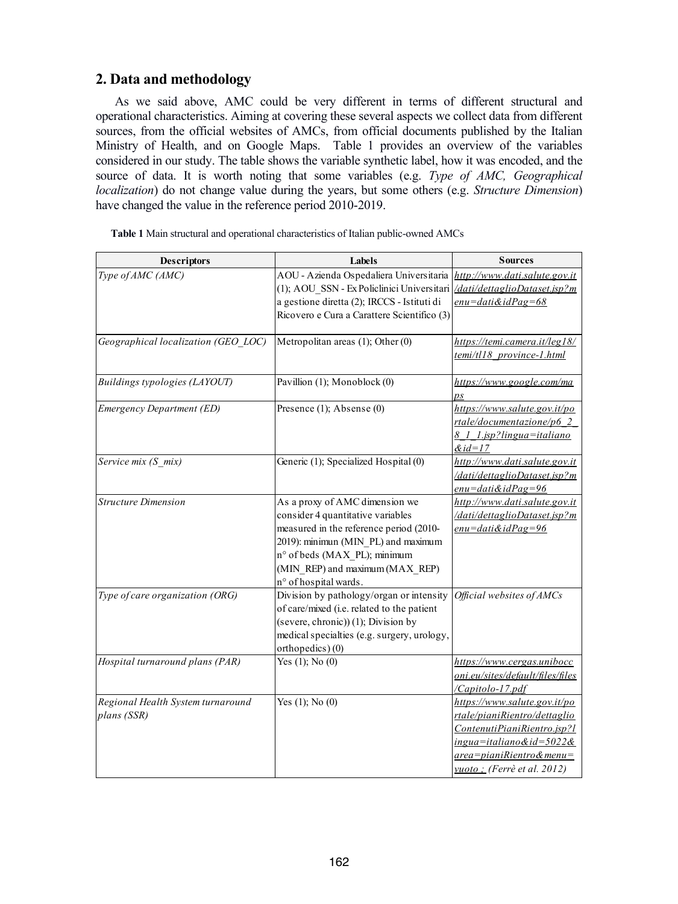## **2. Data and methodology**

As we said above, AMC could be very different in terms of different structural and operational characteristics. Aiming at covering these several aspects we collect data from different sources, from the official websites of AMCs, from official documents published by the Italian Ministry of Health, and on Google Maps. Table 1 provides an overview of the variables considered in our study. The table shows the variable synthetic label, how it was encoded, and the source of data. It is worth noting that some variables (e.g. *Type of AMC, Geographical localization*) do not change value during the years, but some others (e.g. *Structure Dimension*) have changed the value in the reference period 2010-2019.

| <b>Descriptors</b>                               | Labels                                                                                                                                                                                                                                            | <b>Sources</b>                                                                                                                                                                       |  |
|--------------------------------------------------|---------------------------------------------------------------------------------------------------------------------------------------------------------------------------------------------------------------------------------------------------|--------------------------------------------------------------------------------------------------------------------------------------------------------------------------------------|--|
| Type of AMC (AMC)                                | AOU - Azienda Ospedaliera Universitaria<br>(1); AOU_SSN - Ex Policlinici Universitari <i>dati/dettaglioDataset.jsp?m</i><br>a gestione diretta (2); IRCCS - Istituti di<br>Ricovero e Cura a Carattere Scientifico (3)                            | http://www.dati.salute.gov.it<br>enu=dati&idPag=68                                                                                                                                   |  |
| Geographical localization (GEO LOC)              | Metropolitan areas (1); Other (0)                                                                                                                                                                                                                 | https://temi.camera.it/leg18/<br>temi/tl18 province-1.html                                                                                                                           |  |
| Buildings typologies (LAYOUT)                    | Pavillion (1); Monoblock (0)                                                                                                                                                                                                                      | https://www.google.com/ma<br>$\overline{\mathit{DS}}$                                                                                                                                |  |
| Emergency Department (ED)                        | Presence (1); Absense (0)                                                                                                                                                                                                                         | https://www.salute.gov.it/po<br>rtale/documentazione/p6 2<br>8 1 1 jsp?lingua=italiano<br>$\&$ id=17                                                                                 |  |
| Service mix (S mix)                              | Generic (1); Specialized Hospital (0)                                                                                                                                                                                                             | http://www.dati.salute.gov.it<br>/dati/dettaglioDataset.jsp?m<br>$enu = dati & idPage = 96$                                                                                          |  |
| <b>Structure Dimension</b>                       | As a proxy of AMC dimension we<br>consider 4 quantitative variables<br>measured in the reference period (2010-<br>2019): minimun (MIN_PL) and maximum<br>n° of beds (MAX_PL); minimum<br>(MIN_REP) and maximum (MAX_REP)<br>n° of hospital wards. | http://www.dati.salute.gov.it<br>/dati/dettaglioDataset.jsp?m<br>$enu = dati & idPage = 96$                                                                                          |  |
| Type of care organization (ORG)                  | Division by pathology/organ or intensity<br>of care/mixed (i.e. related to the patient<br>(severe, chronic)) (1); Division by<br>medical specialties (e.g. surgery, urology,<br>orthopedics) (0)                                                  | Official websites of AMCs                                                                                                                                                            |  |
| Hospital turnaround plans (PAR)                  | Yes $(1)$ ; No $(0)$                                                                                                                                                                                                                              | https://www.cergas.unibocc<br>oni.eu/sites/default/files/files<br>/Capitolo-17.pdf                                                                                                   |  |
| Regional Health System turnaround<br>plans (SSR) | Yes $(1)$ ; No $(0)$                                                                                                                                                                                                                              | https://www.salute.gov.it/po<br>rtale/pianiRientro/dettaglio<br>ContenutiPianiRientro.jsp?l<br>$ingua=italiano&id=5022&$<br>area=pianiRientro&menu=<br>$vuoto$ ; (Ferrè et al. 2012) |  |

**Table 1** Main structural and operational characteristics of Italian public-owned AMCs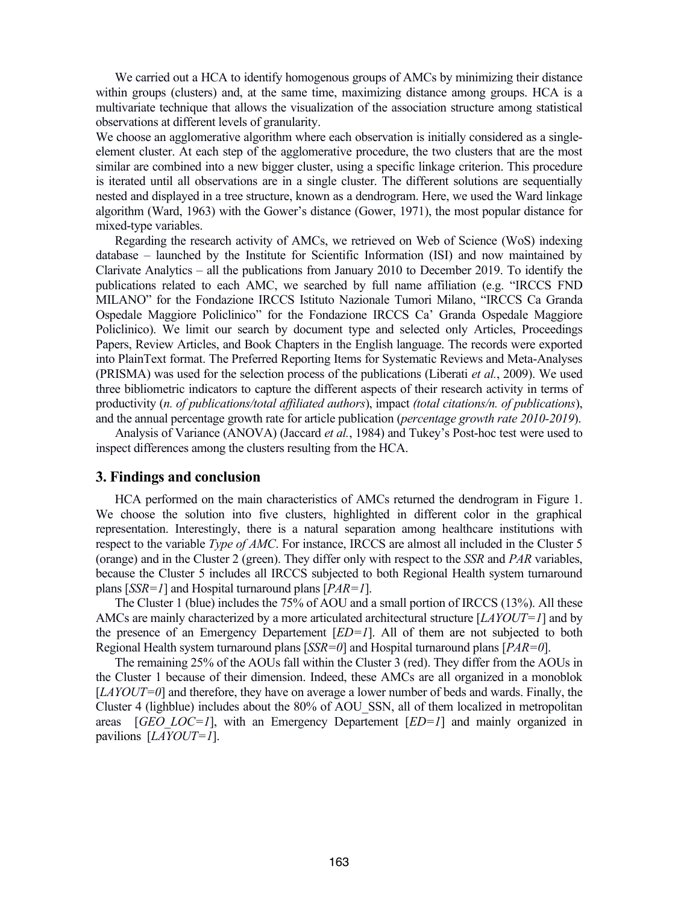We carried out a HCA to identify homogenous groups of AMCs by minimizing their distance within groups (clusters) and, at the same time, maximizing distance among groups. HCA is a multivariate technique that allows the visualization of the association structure among statistical observations at different levels of granularity.

We choose an agglomerative algorithm where each observation is initially considered as a singleelement cluster. At each step of the agglomerative procedure, the two clusters that are the most similar are combined into a new bigger cluster, using a specific linkage criterion. This procedure is iterated until all observations are in a single cluster. The different solutions are sequentially nested and displayed in a tree structure, known as a dendrogram. Here, we used the Ward linkage algorithm (Ward, 1963) with the Gower's distance (Gower, 1971), the most popular distance for mixed-type variables.

Regarding the research activity of AMCs, we retrieved on Web of Science (WoS) indexing database – launched by the Institute for Scientific Information (ISI) and now maintained by Clarivate Analytics – all the publications from January 2010 to December 2019. To identify the publications related to each AMC, we searched by full name affiliation (e.g. "IRCCS FND MILANO" for the Fondazione IRCCS Istituto Nazionale Tumori Milano, "IRCCS Ca Granda Ospedale Maggiore Policlinico" for the Fondazione IRCCS Ca' Granda Ospedale Maggiore Policlinico). We limit our search by document type and selected only Articles, Proceedings Papers, Review Articles, and Book Chapters in the English language. The records were exported into PlainText format. The Preferred Reporting Items for Systematic Reviews and Meta-Analyses (PRISMA) was used for the selection process of the publications (Liberati *et al.*, 2009). We used three bibliometric indicators to capture the different aspects of their research activity in terms of productivity (*n. of publications/total affiliated authors*), impact *(total citations/n. of publications*), and the annual percentage growth rate for article publication (*percentage growth rate 2010-2019*).

Analysis of Variance (ANOVA) (Jaccard *et al.*, 1984) and Tukey's Post-hoc test were used to inspect differences among the clusters resulting from the HCA.

#### **3. Findings and conclusion**

HCA performed on the main characteristics of AMCs returned the dendrogram in Figure 1. We choose the solution into five clusters, highlighted in different color in the graphical representation. Interestingly, there is a natural separation among healthcare institutions with respect to the variable *Type of AMC*. For instance, IRCCS are almost all included in the Cluster 5 (orange) and in the Cluster 2 (green). They differ only with respect to the *SSR* and *PAR* variables, because the Cluster 5 includes all IRCCS subjected to both Regional Health system turnaround plans [*SSR=1*] and Hospital turnaround plans [*PAR=1*].

The Cluster 1 (blue) includes the 75% of AOU and a small portion of IRCCS (13%). All these AMCs are mainly characterized by a more articulated architectural structure [*LAYOUT=1*] and by the presence of an Emergency Departement [*ED=1*]. All of them are not subjected to both Regional Health system turnaround plans [*SSR=0*] and Hospital turnaround plans [*PAR=0*].

The remaining 25% of the AOUs fall within the Cluster 3 (red). They differ from the AOUs in the Cluster 1 because of their dimension. Indeed, these AMCs are all organized in a monoblok [*LAYOUT=0*] and therefore, they have on average a lower number of beds and wards. Finally, the Cluster 4 (lighblue) includes about the 80% of AOU\_SSN, all of them localized in metropolitan areas [*GEO\_LOC=1*], with an Emergency Departement [*ED=1*] and mainly organized in pavilions [*LAYOUT=1*].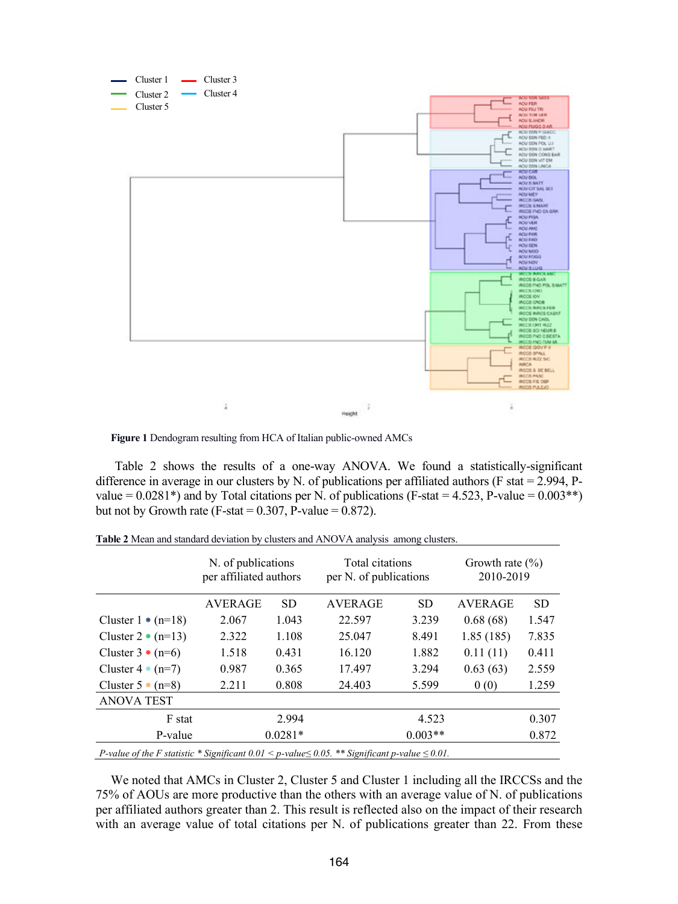

**Figure 1** Dendogram resulting from HCA of Italian public-owned AMCs

Table 2 shows the results of a one-way ANOVA. We found a statistically-significant difference in average in our clusters by N. of publications per affiliated authors (F stat = 2.994, Pvalue =  $0.0281*$ ) and by Total citations per N. of publications (F-stat =  $4.523$ , P-value =  $0.003**$ ) but not by Growth rate (F-stat  $= 0.307$ , P-value  $= 0.872$ ).

|                                                                                                                       | N. of publications<br>per affiliated authors |           | Total citations<br>per N. of publications |           | Growth rate $(\% )$<br>2010-2019 |       |  |  |
|-----------------------------------------------------------------------------------------------------------------------|----------------------------------------------|-----------|-------------------------------------------|-----------|----------------------------------|-------|--|--|
|                                                                                                                       | <b>AVERAGE</b>                               | SD.       | AVERAGE                                   | <b>SD</b> | <b>AVERAGE</b>                   | SD.   |  |  |
| Cluster $1 * (n=18)$                                                                                                  | 2.067                                        | 1.043     | 22.597                                    | 3.239     | 0.68(68)                         | 1.547 |  |  |
| Cluster $2 * (n=13)$                                                                                                  | 2.322                                        | 1.108     | 25.047                                    | 8.491     | 1.85(185)                        | 7.835 |  |  |
| Cluster $3 * (n=6)$                                                                                                   | 1.518                                        | 0.431     | 16.120                                    | 1.882     | 0.11(11)                         | 0.411 |  |  |
| Cluster $4 * (n=7)$                                                                                                   | 0.987                                        | 0.365     | 17.497                                    | 3.294     | 0.63(63)                         | 2.559 |  |  |
| Cluster $5 * (n=8)$                                                                                                   | 2.211                                        | 0.808     | 24.403                                    | 5.599     | 0(0)                             | 1.259 |  |  |
| <b>ANOVA TEST</b>                                                                                                     |                                              |           |                                           |           |                                  |       |  |  |
| F stat                                                                                                                |                                              | 2.994     |                                           | 4.523     |                                  | 0.307 |  |  |
| P-value                                                                                                               |                                              | $0.0281*$ |                                           | $0.003**$ |                                  | 0.872 |  |  |
| <i>P</i> -value of the F statistic * Significant $0.01 \le p$ -value $\le 0.05$ . ** Significant p-value $\le 0.01$ . |                                              |           |                                           |           |                                  |       |  |  |

**Table 2** Mean and standard deviation by clusters and ANOVA analysis among clusters.

We noted that AMCs in Cluster 2, Cluster 5 and Cluster 1 including all the IRCCSs and the 75% of AOUs are more productive than the others with an average value of N. of publications per affiliated authors greater than 2. This result is reflected also on the impact of their research with an average value of total citations per N. of publications greater than 22. From these